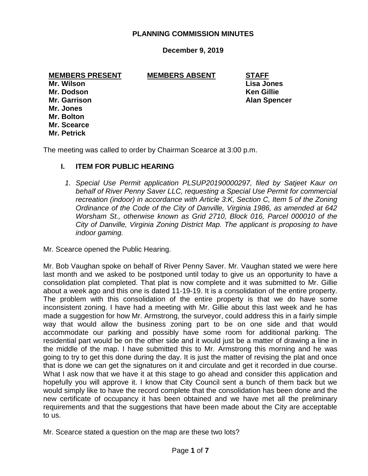# **PLANNING COMMISSION MINUTES**

# **December 9, 2019**

**MEMBERS PRESENT MEMBERS ABSENT STAFF**

**Mr. Wilson Lisa Jones Mr. Dodson Ken Gillie Mr. Jones Mr. Bolton Mr. Scearce Mr. Petrick**

**Mr. Garrison Alan Spencer** 

The meeting was called to order by Chairman Scearce at 3:00 p.m.

#### **I. ITEM FOR PUBLIC HEARING**

*1. Special Use Permit application PLSUP20190000297, filed by Satjeet Kaur on behalf of River Penny Saver LLC, requesting a Special Use Permit for commercial recreation (indoor) in accordance with Article 3:K, Section C, Item 5 of the Zoning Ordinance of the Code of the City of Danville, Virginia 1986, as amended at 642 Worsham St., otherwise known as Grid 2710, Block 016, Parcel 000010 of the City of Danville, Virginia Zoning District Map. The applicant is proposing to have indoor gaming.*

Mr. Scearce opened the Public Hearing.

Mr. Bob Vaughan spoke on behalf of River Penny Saver. Mr. Vaughan stated we were here last month and we asked to be postponed until today to give us an opportunity to have a consolidation plat completed. That plat is now complete and it was submitted to Mr. Gillie about a week ago and this one is dated 11-19-19. It is a consolidation of the entire property. The problem with this consolidation of the entire property is that we do have some inconsistent zoning. I have had a meeting with Mr. Gillie about this last week and he has made a suggestion for how Mr. Armstrong, the surveyor, could address this in a fairly simple way that would allow the business zoning part to be on one side and that would accommodate our parking and possibly have some room for additional parking. The residential part would be on the other side and it would just be a matter of drawing a line in the middle of the map. I have submitted this to Mr. Armstrong this morning and he was going to try to get this done during the day. It is just the matter of revising the plat and once that is done we can get the signatures on it and circulate and get it recorded in due course. What I ask now that we have it at this stage to go ahead and consider this application and hopefully you will approve it. I know that City Council sent a bunch of them back but we would simply like to have the record complete that the consolidation has been done and the new certificate of occupancy it has been obtained and we have met all the preliminary requirements and that the suggestions that have been made about the City are acceptable to us.

Mr. Scearce stated a question on the map are these two lots?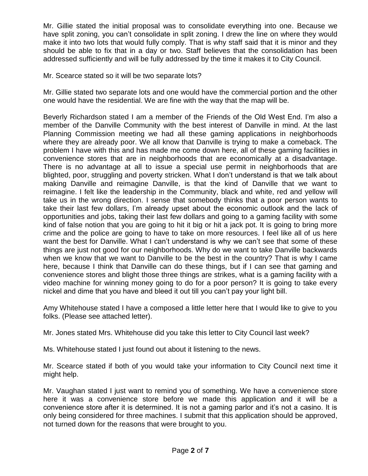Mr. Gillie stated the initial proposal was to consolidate everything into one. Because we have split zoning, you can't consolidate in split zoning. I drew the line on where they would make it into two lots that would fully comply. That is why staff said that it is minor and they should be able to fix that in a day or two. Staff believes that the consolidation has been addressed sufficiently and will be fully addressed by the time it makes it to City Council.

Mr. Scearce stated so it will be two separate lots?

Mr. Gillie stated two separate lots and one would have the commercial portion and the other one would have the residential. We are fine with the way that the map will be.

Beverly Richardson stated I am a member of the Friends of the Old West End. I'm also a member of the Danville Community with the best interest of Danville in mind. At the last Planning Commission meeting we had all these gaming applications in neighborhoods where they are already poor. We all know that Danville is trying to make a comeback. The problem I have with this and has made me come down here, all of these gaming facilities in convenience stores that are in neighborhoods that are economically at a disadvantage. There is no advantage at all to issue a special use permit in neighborhoods that are blighted, poor, struggling and poverty stricken. What I don't understand is that we talk about making Danville and reimagine Danville, is that the kind of Danville that we want to reimagine. I felt like the leadership in the Community, black and white, red and yellow will take us in the wrong direction. I sense that somebody thinks that a poor person wants to take their last few dollars, I'm already upset about the economic outlook and the lack of opportunities and jobs, taking their last few dollars and going to a gaming facility with some kind of false notion that you are going to hit it big or hit a jack pot. It is going to bring more crime and the police are going to have to take on more resources. I feel like all of us here want the best for Danville. What I can't understand is why we can't see that some of these things are just not good for our neighborhoods. Why do we want to take Danville backwards when we know that we want to Danville to be the best in the country? That is why I came here, because I think that Danville can do these things, but if I can see that gaming and convenience stores and blight those three things are strikes, what is a gaming facility with a video machine for winning money going to do for a poor person? It is going to take every nickel and dime that you have and bleed it out till you can't pay your light bill.

Amy Whitehouse stated I have a composed a little letter here that I would like to give to you folks. (Please see attached letter).

Mr. Jones stated Mrs. Whitehouse did you take this letter to City Council last week?

Ms. Whitehouse stated I just found out about it listening to the news.

Mr. Scearce stated if both of you would take your information to City Council next time it might help.

Mr. Vaughan stated I just want to remind you of something. We have a convenience store here it was a convenience store before we made this application and it will be a convenience store after it is determined. It is not a gaming parlor and it's not a casino. It is only being considered for three machines. I submit that this application should be approved, not turned down for the reasons that were brought to you.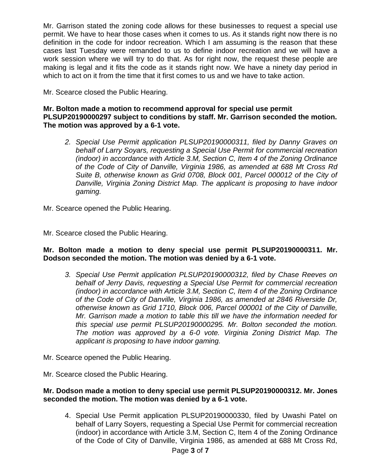Mr. Garrison stated the zoning code allows for these businesses to request a special use permit. We have to hear those cases when it comes to us. As it stands right now there is no definition in the code for indoor recreation. Which I am assuming is the reason that these cases last Tuesday were remanded to us to define indoor recreation and we will have a work session where we will try to do that. As for right now, the request these people are making is legal and it fits the code as it stands right now. We have a ninety day period in which to act on it from the time that it first comes to us and we have to take action.

Mr. Scearce closed the Public Hearing.

# **Mr. Bolton made a motion to recommend approval for special use permit PLSUP20190000297 subject to conditions by staff. Mr. Garrison seconded the motion. The motion was approved by a 6-1 vote.**

*2. Special Use Permit application PLSUP20190000311, filed by Danny Graves on behalf of Larry Soyars, requesting a Special Use Permit for commercial recreation (indoor) in accordance with Article 3.M, Section C, Item 4 of the Zoning Ordinance of the Code of City of Danville, Virginia 1986, as amended at 688 Mt Cross Rd Suite B, otherwise known as Grid 0708, Block 001, Parcel 000012 of the City of Danville, Virginia Zoning District Map. The applicant is proposing to have indoor gaming.*

Mr. Scearce opened the Public Hearing.

Mr. Scearce closed the Public Hearing.

# **Mr. Bolton made a motion to deny special use permit PLSUP20190000311. Mr. Dodson seconded the motion. The motion was denied by a 6-1 vote.**

- *3. Special Use Permit application PLSUP20190000312, filed by Chase Reeves on behalf of Jerry Davis, requesting a Special Use Permit for commercial recreation (indoor) in accordance with Article 3.M, Section C, Item 4 of the Zoning Ordinance of the Code of City of Danville, Virginia 1986, as amended at 2846 Riverside Dr, otherwise known as Grid 1710, Block 006, Parcel 000001 of the City of Danville, Mr. Garrison made a motion to table this till we have the information needed for this special use permit PLSUP20190000295. Mr. Bolton seconded the motion. The motion was approved by a 6-0 vote. Virginia Zoning District Map. The applicant is proposing to have indoor gaming.*
- Mr. Scearce opened the Public Hearing.
- Mr. Scearce closed the Public Hearing.

# **Mr. Dodson made a motion to deny special use permit PLSUP20190000312. Mr. Jones seconded the motion. The motion was denied by a 6-1 vote.**

4. Special Use Permit application PLSUP20190000330, filed by Uwashi Patel on behalf of Larry Soyers, requesting a Special Use Permit for commercial recreation (indoor) in accordance with Article 3.M, Section C, Item 4 of the Zoning Ordinance of the Code of City of Danville, Virginia 1986, as amended at 688 Mt Cross Rd,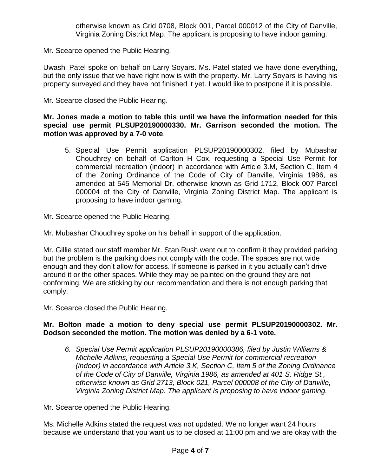Mr. Scearce opened the Public Hearing.

Uwashi Patel spoke on behalf on Larry Soyars. Ms. Patel stated we have done everything, but the only issue that we have right now is with the property. Mr. Larry Soyars is having his property surveyed and they have not finished it yet. I would like to postpone if it is possible.

Mr. Scearce closed the Public Hearing.

# **Mr. Jones made a motion to table this until we have the information needed for this special use permit PLSUP20190000330. Mr. Garrison seconded the motion. The motion was approved by a 7-0 vote**.

5. Special Use Permit application PLSUP20190000302, filed by Mubashar Choudhrey on behalf of Carlton H Cox, requesting a Special Use Permit for commercial recreation (indoor) in accordance with Article 3.M, Section C, Item 4 of the Zoning Ordinance of the Code of City of Danville, Virginia 1986, as amended at 545 Memorial Dr, otherwise known as Grid 1712, Block 007 Parcel 000004 of the City of Danville, Virginia Zoning District Map. The applicant is proposing to have indoor gaming.

Mr. Scearce opened the Public Hearing.

Mr. Mubashar Choudhrey spoke on his behalf in support of the application.

Mr. Gillie stated our staff member Mr. Stan Rush went out to confirm it they provided parking but the problem is the parking does not comply with the code. The spaces are not wide enough and they don't allow for access. If someone is parked in it you actually can't drive around it or the other spaces. While they may be painted on the ground they are not conforming. We are sticking by our recommendation and there is not enough parking that comply.

Mr. Scearce closed the Public Hearing.

# **Mr. Bolton made a motion to deny special use permit PLSUP20190000302. Mr. Dodson seconded the motion. The motion was denied by a 6-1 vote.**

*6. Special Use Permit application PLSUP20190000386, filed by Justin Williams & Michelle Adkins, requesting a Special Use Permit for commercial recreation (indoor) in accordance with Article 3.K, Section C, Item 5 of the Zoning Ordinance of the Code of City of Danville, Virginia 1986, as amended at 401 S. Ridge St., otherwise known as Grid 2713, Block 021, Parcel 000008 of the City of Danville, Virginia Zoning District Map. The applicant is proposing to have indoor gaming.*

Mr. Scearce opened the Public Hearing.

Ms. Michelle Adkins stated the request was not updated. We no longer want 24 hours because we understand that you want us to be closed at 11:00 pm and we are okay with the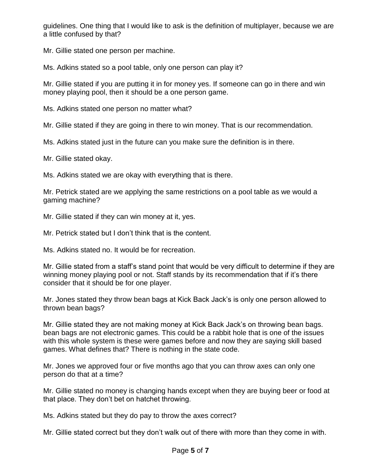guidelines. One thing that I would like to ask is the definition of multiplayer, because we are a little confused by that?

Mr. Gillie stated one person per machine.

Ms. Adkins stated so a pool table, only one person can play it?

Mr. Gillie stated if you are putting it in for money yes. If someone can go in there and win money playing pool, then it should be a one person game.

Ms. Adkins stated one person no matter what?

Mr. Gillie stated if they are going in there to win money. That is our recommendation.

Ms. Adkins stated just in the future can you make sure the definition is in there.

Mr. Gillie stated okay.

Ms. Adkins stated we are okay with everything that is there.

Mr. Petrick stated are we applying the same restrictions on a pool table as we would a gaming machine?

Mr. Gillie stated if they can win money at it, yes.

Mr. Petrick stated but I don't think that is the content.

Ms. Adkins stated no. It would be for recreation.

Mr. Gillie stated from a staff's stand point that would be very difficult to determine if they are winning money playing pool or not. Staff stands by its recommendation that if it's there consider that it should be for one player.

Mr. Jones stated they throw bean bags at Kick Back Jack's is only one person allowed to thrown bean bags?

Mr. Gillie stated they are not making money at Kick Back Jack's on throwing bean bags. bean bags are not electronic games. This could be a rabbit hole that is one of the issues with this whole system is these were games before and now they are saying skill based games. What defines that? There is nothing in the state code.

Mr. Jones we approved four or five months ago that you can throw axes can only one person do that at a time?

Mr. Gillie stated no money is changing hands except when they are buying beer or food at that place. They don't bet on hatchet throwing.

Ms. Adkins stated but they do pay to throw the axes correct?

Mr. Gillie stated correct but they don't walk out of there with more than they come in with.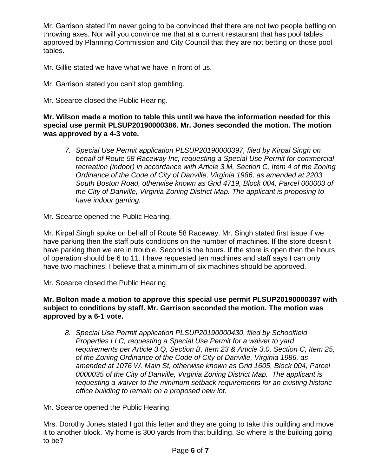Mr. Garrison stated I'm never going to be convinced that there are not two people betting on throwing axes. Nor will you convince me that at a current restaurant that has pool tables approved by Planning Commission and City Council that they are not betting on those pool tables.

Mr. Gillie stated we have what we have in front of us.

- Mr. Garrison stated you can't stop gambling.
- Mr. Scearce closed the Public Hearing.

**Mr. Wilson made a motion to table this until we have the information needed for this special use permit PLSUP20190000386. Mr. Jones seconded the motion. The motion was approved by a 4-3 vote.**

*7. Special Use Permit application PLSUP20190000397, filed by Kirpal Singh on behalf of Route 58 Raceway Inc, requesting a Special Use Permit for commercial recreation (indoor) in accordance with Article 3.M, Section C, Item 4 of the Zoning Ordinance of the Code of City of Danville, Virginia 1986, as amended at 2203 South Boston Road, otherwise known as Grid 4719, Block 004, Parcel 000003 of the City of Danville, Virginia Zoning District Map. The applicant is proposing to have indoor gaming.*

Mr. Scearce opened the Public Hearing.

Mr. Kirpal Singh spoke on behalf of Route 58 Raceway. Mr. Singh stated first issue if we have parking then the staff puts conditions on the number of machines. If the store doesn't have parking then we are in trouble. Second is the hours. If the store is open then the hours of operation should be 6 to 11. I have requested ten machines and staff says I can only have two machines. I believe that a minimum of six machines should be approved.

Mr. Scearce closed the Public Hearing.

**Mr. Bolton made a motion to approve this special use permit PLSUP20190000397 with subject to conditions by staff. Mr. Garrison seconded the motion. The motion was approved by a 6-1 vote.**

*8. Special Use Permit application PLSUP20190000430, filed by Schoolfield Properties LLC, requesting a Special Use Permit for a waiver to yard requirements per Article 3.Q, Section B, Item 23 & Article 3.0, Section C, Item 25, of the Zoning Ordinance of the Code of City of Danville, Virginia 1986, as amended at 1076 W. Main St, otherwise known as Grid 1605, Block 004, Parcel 0000035 of the City of Danville, Virginia Zoning District Map. The applicant is requesting a waiver to the minimum setback requirements for an existing historic office building to remain on a proposed new lot.*

Mr. Scearce opened the Public Hearing.

Mrs. Dorothy Jones stated I got this letter and they are going to take this building and move it to another block. My home is 300 yards from that building. So where is the building going to be?